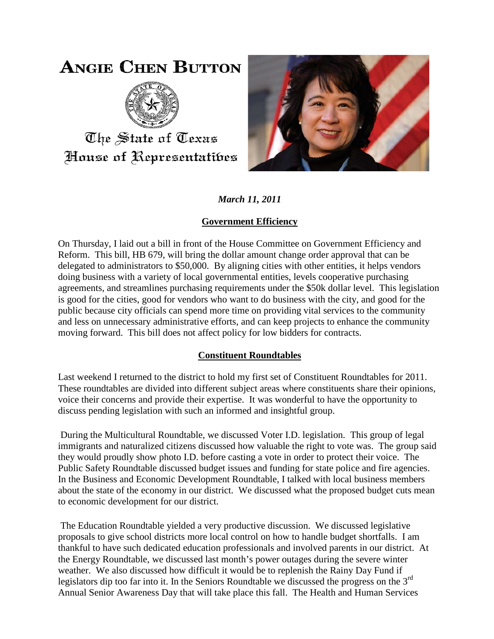# **ANGIE CHEN BUTTON**



The State of Texas House of Representatibes



*March 11, 2011*

## **Government Efficiency**

On Thursday, I laid out a bill in front of the House Committee on Government Efficiency and Reform. This bill, HB 679, will bring the dollar amount change order approval that can be delegated to administrators to \$50,000. By aligning cities with other entities, it helps vendors doing business with a variety of local governmental entities, levels cooperative purchasing agreements, and streamlines purchasing requirements under the \$50k dollar level. This legislation is good for the cities, good for vendors who want to do business with the city, and good for the public because city officials can spend more time on providing vital services to the community and less on unnecessary administrative efforts, and can keep projects to enhance the community moving forward. This bill does not affect policy for low bidders for contracts.

## **Constituent Roundtables**

Last weekend I returned to the district to hold my first set of Constituent Roundtables for 2011. These roundtables are divided into different subject areas where constituents share their opinions, voice their concerns and provide their expertise. It was wonderful to have the opportunity to discuss pending legislation with such an informed and insightful group.

During the Multicultural Roundtable, we discussed Voter I.D. legislation. This group of legal immigrants and naturalized citizens discussed how valuable the right to vote was. The group said they would proudly show photo I.D. before casting a vote in order to protect their voice. The Public Safety Roundtable discussed budget issues and funding for state police and fire agencies. In the Business and Economic Development Roundtable, I talked with local business members about the state of the economy in our district. We discussed what the proposed budget cuts mean to economic development for our district.

The Education Roundtable yielded a very productive discussion. We discussed legislative proposals to give school districts more local control on how to handle budget shortfalls. I am thankful to have such dedicated education professionals and involved parents in our district. At the Energy Roundtable, we discussed last month's power outages during the severe winter weather. We also discussed how difficult it would be to replenish the Rainy Day Fund if legislators dip too far into it. In the Seniors Roundtable we discussed the progress on the  $3<sup>rd</sup>$ Annual Senior Awareness Day that will take place this fall. The Health and Human Services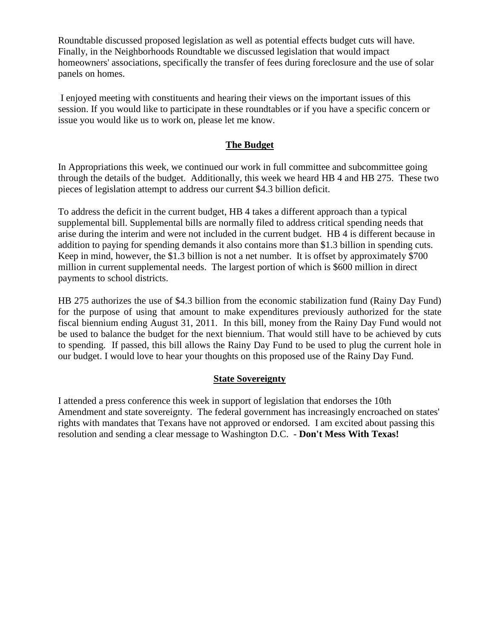Roundtable discussed proposed legislation as well as potential effects budget cuts will have. Finally, in the Neighborhoods Roundtable we discussed legislation that would impact homeowners' associations, specifically the transfer of fees during foreclosure and the use of solar panels on homes.

I enjoyed meeting with constituents and hearing their views on the important issues of this session. If you would like to participate in these roundtables or if you have a specific concern or issue you would like us to work on, please let me know.

#### **The Budget**

In Appropriations this week, we continued our work in full committee and subcommittee going through the details of the budget. Additionally, this week we heard HB 4 and HB 275. These two pieces of legislation attempt to address our current \$4.3 billion deficit.

To address the deficit in the current budget, HB 4 takes a different approach than a typical supplemental bill. Supplemental bills are normally filed to address critical spending needs that arise during the interim and were not included in the current budget. HB 4 is different because in addition to paying for spending demands it also contains more than \$1.3 billion in spending cuts. Keep in mind, however, the \$1.3 billion is not a net number. It is offset by approximately \$700 million in current supplemental needs. The largest portion of which is \$600 million in direct payments to school districts.

HB 275 authorizes the use of \$4.3 billion from the economic stabilization fund (Rainy Day Fund) for the purpose of using that amount to make expenditures previously authorized for the state fiscal biennium ending August 31, 2011. In this bill, money from the Rainy Day Fund would not be used to balance the budget for the next biennium. That would still have to be achieved by cuts to spending. If passed, this bill allows the Rainy Day Fund to be used to plug the current hole in our budget. I would love to hear your thoughts on this proposed use of the Rainy Day Fund.

#### **State Sovereignty**

I attended a press conference this week in support of legislation that endorses the 10th Amendment and state sovereignty. The federal government has increasingly encroached on states' rights with mandates that Texans have not approved or endorsed. I am excited about passing this resolution and sending a clear message to Washington D.C. - **Don't Mess With Texas!**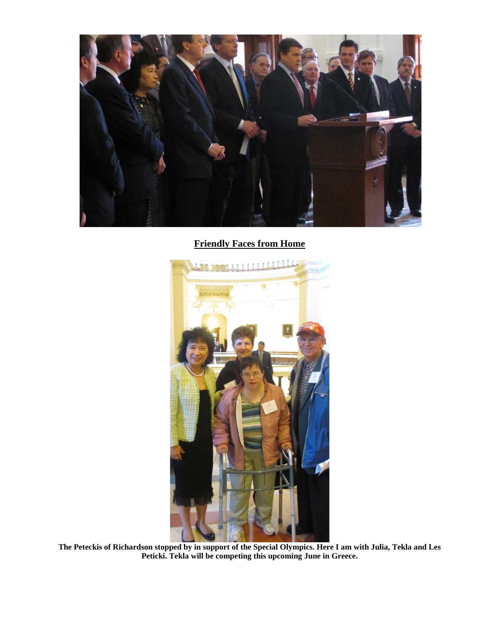

### **Friendly Faces from Home**



**The Peteckis of Richardson stopped by in support of the Special Olympics. Here I am with Julia, Tekla and Les Peticki. Tekla will be competing this upcoming June in Greece.**